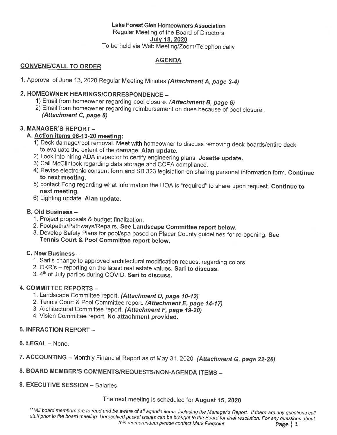### Lake Forest Glen Homeowners Association

Regular Meeting of the Board of Directors

July 18, 2020

To be held via Web Meeting/Zoom/Telephonically

#### **AGENDA**

#### **CONVENE/CALL TO ORDER**

1. Approval of June 13, 2020 Regular Meeting Minutes (Attachment A, page 3-4)

#### 2. HOMEOWNER HEARINGS/CORRESPONDENCE -

- 1) Email from homeowner regarding pool closure. (Attachment B, page 6)
- 2) Email from homeowner regarding reimbursement on dues because of pool closure. (Attachment C, page 8)

#### 3. MANAGER'S REPORT -

#### A. Action items 06-13-20 meeting:

- 1) Deck damage/root removal. Meet with homeowner to discuss removing deck boards/entire deck to evaluate the extent of the damage. Alan update.
- 2) Look into hiring ADA inspector to certify engineering plans. Josette update.
- 3) Call McClintock regarding data storage and CCPA compliance.
- 4) Revise electronic consent form and SB 323 legislation on sharing personal information form. Continue to next meeting.
- 5) contact Fong regarding what information the HOA is "required" to share upon request. Continue to next meeting.
- 6) Lighting update. Alan update.

#### B. Old Business -

- 1. Project proposals & budget finalization.
- 2. Footpaths/Pathways/Repairs. See Landscape Committee report below.
- 3. Develop Safety Plans for pool/spa based on Placer County guidelines for re-opening. See Tennis Court & Pool Committee report below.

#### C. New Business -

- 1. Sari's change to approved architectural modification request regarding colors.
- 2. OKR's reporting on the latest real estate values. Sari to discuss.
- 3. 4th of July parties during COVID. Sari to discuss.

#### 4. COMMITTEE REPORTS -

- 1. Landscape Committee report. (Attachment D, page 10-12)
- 2. Tennis Court & Pool Committee report. (Attachment E, page 14-17)
- 3. Architectural Committee report. (Attachment F, page 19-20)
- 4. Vision Committee report. No attachment provided.

#### **5. INFRACTION REPORT -**

- 6. LEGAL None.
- 7. ACCOUNTING Monthly Financial Report as of May 31, 2020. (Attachment G, page 22-26)

#### 8. BOARD MEMBER'S COMMENTS/REQUESTS/NON-AGENDA ITEMS -

#### 9. EXECUTIVE SESSION - Salaries

The next meeting is scheduled for August 15, 2020

\*\*\*All board members are to read and be aware of all agenda items, including the Manager's Report. If there are any questions call staff prior to the board meeting. Unresolved packet issues can be brought to the Board for final resolution. For any questions about this memorandum please contact Mark Pierpoint. Page  $|1$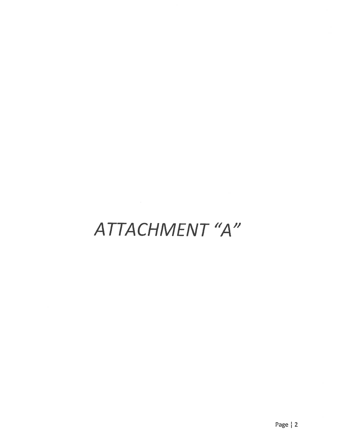## ATTACHMENT "A"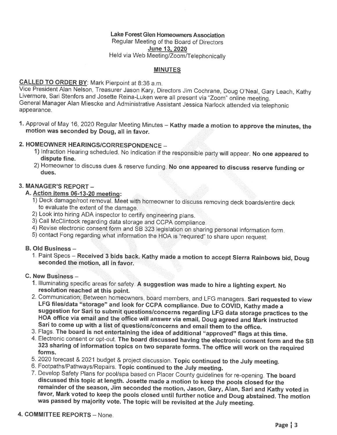#### Lake Forest Glen Homeowners Association

Regular Meeting of the Board of Directors **June 13, 2020** 

Held via Web Meeting/Zoom/Telephonically

#### **MINUTES**

#### CALLED TO ORDER BY: Mark Pierpoint at 8:36 a.m.

Vice President Alan Nelson, Treasurer Jason Kary, Directors Jim Cochrane, Doug O'Neal, Gary Leach, Kathy Livermore, Sari Stenfors and Josette Reina-Luken were all present via "Zoom" online meeting. General Manager Alan Miescke and Administrative Assistant Jessica Narlock attended via telephonic appearance.

1. Approval of May 16, 2020 Regular Meeting Minutes - Kathy made a motion to approve the minutes, the motion was seconded by Doug, all in favor.

#### 2. HOMEOWNER HEARINGS/CORRESPONDENCE -

- 1) Infraction Hearing scheduled. No indication if the responsible party will appear. No one appeared to dispute fine.
- 2) Homeowner to discuss dues & reserve funding. No one appeared to discuss reserve funding or dues.

#### 3. MANAGER'S REPORT -

#### A. Action items 06-13-20 meeting:

- 1) Deck damage/root removal. Meet with homeowner to discuss removing deck boards/entire deck to evaluate the extent of the damage.
- 2) Look into hiring ADA inspector to certify engineering plans.
- 3) Call McClintock regarding data storage and CCPA compliance.
- 4) Revise electronic consent form and SB 323 legislation on sharing personal information form.
- 5) contact Fong regarding what information the HOA is "required" to share upon request.

#### **B. Old Business -**

1. Paint Specs - Received 3 bids back. Kathy made a motion to accept Sierra Rainbows bid, Doug seconded the motion, all in favor.

#### C. New Business -

- 1. Illuminating specific areas for safety. A suggestion was made to hire a lighting expert. No resolution reached at this point.
- 2. Communication, Between homeowners, board members, and LFG managers. Sari requested to view LFG files/data "storage" and look for CCPA compliance. Due to COVID, Kathy made a suggestion for Sari to submit questions/concerns regarding LFG data storage practices to the HOA office via email and the office will answer via email, Doug agreed and Mark instructed Sari to come up with a list of questions/concerns and email them to the office.
- 3. Flags. The board is not entertaining the idea of additional "approved" flags at this time.
- 4. Electronic consent or opt-out. The board discussed having the electronic consent form and the SB 323 sharing of information topics on two separate forms. The office will work on the required forms.
- 5. 2020 forecast & 2021 budget & project discussion. Topic continued to the July meeting.
- 6. Footpaths/Pathways/Repairs. Topic continued to the July meeting.
- 7. Develop Safety Plans for pool/spa based on Placer County guidelines for re-opening. The board discussed this topic at length. Josette made a motion to keep the pools closed for the remainder of the season, Jim seconded the motion, Jason, Gary, Alan, Sari and Kathy voted in favor, Mark voted to keep the pools closed until further notice and Doug abstained. The motion was passed by majority vote. The topic will be revisited at the July meeting.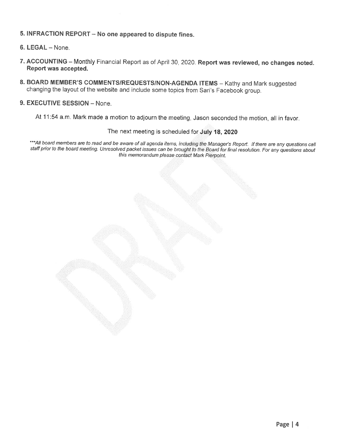#### 5. INFRACTION REPORT - No one appeared to dispute fines.

- 6. LEGAL None.
- 7. ACCOUNTING Monthly Financial Report as of April 30, 2020. Report was reviewed, no changes noted. Report was accepted.
- 8. BOARD MEMBER'S COMMENTS/REQUESTS/NON-AGENDA ITEMS Kathy and Mark suggested changing the layout of the website and include some topics from Sari's Facebook group.

#### 9. EXECUTIVE SESSION - None.

At 11:54 a.m. Mark made a motion to adjourn the meeting, Jason seconded the motion, all in favor.

#### The next meeting is scheduled for July 18, 2020

\*\*\*All board members are to read and be aware of all agenda items, including the Manager's Report. If there are any questions call staff prior to the board meeting. Unresolved packet issues can be brought to the Board for final resolution. For any questions about this memorandum please contact Mark Pierpoint.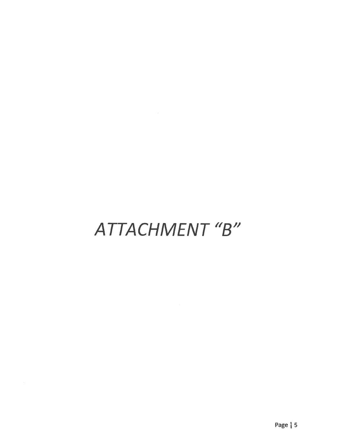## ATTACHMENT "B"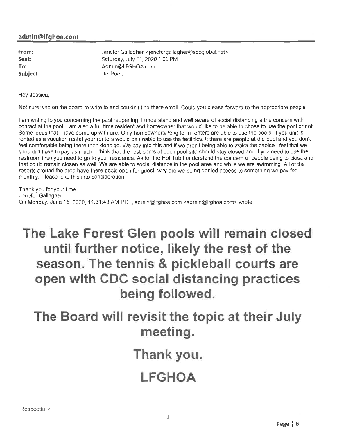#### admin@lfghoa.com

From: Sent: To: Subject: Jenefer Gallagher <jenefergallagher@sbcglobal.net> Saturday, July 11, 2020 1:06 PM Admin@LFGHOA.com Re: Pools

Hev Jessica.

Not sure who on the board to write to and couldn't find there email. Could you please forward to the appropriate people.

I am writing to you concerning the pool reopening. I understand and well aware of social distancing a the concern with contact at the pool. I am also a full time resident and homeowner that would like to be able to chose to use the pool or not. Some ideas that I have come up with are. Only homeowners/long term renters are able to use the pools. If you unit is rented as a vacation rental your renters would be unable to use the facilities. If there are people at the pool and you don't feel comfortable being there then don't go. We pay into this and if we aren't being able to make the choice I feel that we shouldn't have to pay as much. I think that the restrooms at each pool site should stay closed and if you need to use the restroom then you need to go to your residence. As for the Hot Tub I understand the concern of people being to close and that could remain closed as well. We are able to social distance in the pool area and while we are swimming. All of the resorts around the area have there pools open for quest, why are we being denied access to something we pay for monthly. Please take this into consideration.

Thank you for your time. Jenefer Gallagher On Monday, June 15, 2020, 11:31:43 AM PDT, admin@lfghoa.com <admin@lfghoa.com> wrote:

### The Lake Forest Glen pools will remain closed until further notice, likely the rest of the season. The tennis & pickleball courts are open with CDC social distancing practices being followed.

The Board will revisit the topic at their July meeting.

Thank you.

### **LFGHOA**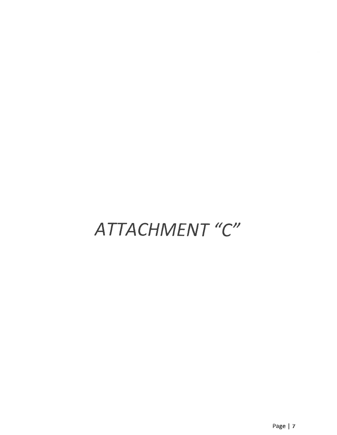# ATTACHMENT "C"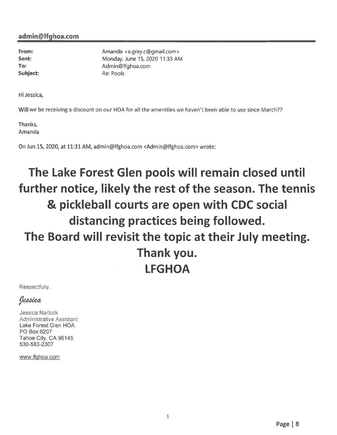From: Sent: To: Subject: Amanda <a.gray.c@gmail.com> Monday, June 15, 2020 11:33 AM Admin@lfghoa.com Re: Pools

Hi Jessica,

Will we be receiving a discount on our HOA for all the amenities we haven't been able to use since March??

Thanks, Amanda

On Jun 15, 2020, at 11:31 AM, admin@lfghoa.com <Admin@lfghoa.com> wrote:

## The Lake Forest Glen pools will remain closed until further notice, likely the rest of the season. The tennis & pickleball courts are open with CDC social distancing practices being followed. The Board will revisit the topic at their July meeting. Thank you. **LFGHOA**

Respectfully,

Jessica

Jessica Narlock Administrative Assistant Lake Forest Glen HOA PO Box 6207 Tahoe City, CA 96145 530-583-2307

www.lfghoa.com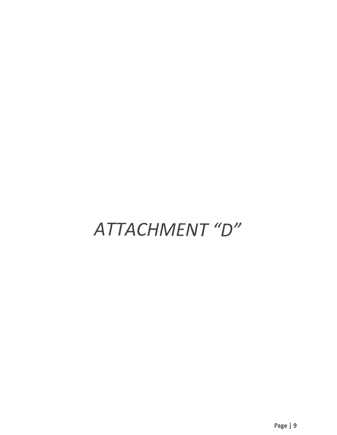# ATTACHMENT"D"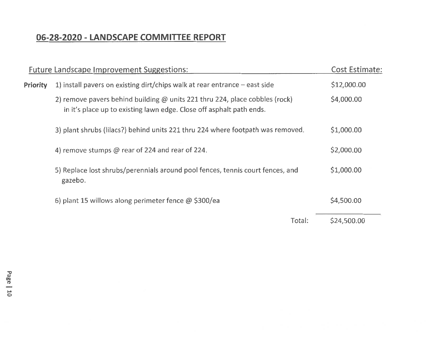### 06-28-2020 - LANDSCAPE COMMITTEE REPORT

|                 | Future Landscape Improvement Suggestions:                                                                                                           |        | <b>Cost Estimate:</b> |
|-----------------|-----------------------------------------------------------------------------------------------------------------------------------------------------|--------|-----------------------|
| <b>Priority</b> | 1) install pavers on existing dirt/chips walk at rear entrance $-$ east side                                                                        |        | \$12,000.00           |
|                 | 2) remove pavers behind building @ units 221 thru 224, place cobbles (rock)<br>in it's place up to existing lawn edge. Close off asphalt path ends. |        | \$4,000.00            |
|                 | 3) plant shrubs (lilacs?) behind units 221 thru 224 where footpath was removed.                                                                     |        | \$1,000.00            |
|                 | 4) remove stumps @ rear of 224 and rear of 224.                                                                                                     |        | \$2,000.00            |
|                 | 5) Replace lost shrubs/perennials around pool fences, tennis court fences, and<br>gazebo.                                                           |        | \$1,000.00            |
|                 | 6) plant 15 willows along perimeter fence $@$ \$300/ea                                                                                              |        | \$4,500.00            |
|                 |                                                                                                                                                     | Total: | \$24,500.00           |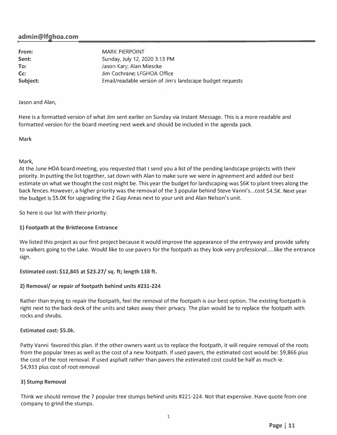#### **admin@lfghoa.com**

**From: Sent: To: Cc: Subject:**  MARK PIERPOINT Sunday, July 12, 2020 3:13 PM Jason Kary; Alan Miescke Jim Cochrane; LFGHOA Office Email/readable version of Jim's landscape budget requests

Jason and Alan,

Here is a formatted version of what Jim sent earlier on Sunday via Instant Message. This is a more readable and formatted version for the board meeting next week and should be included in the agenda pack.

Mark

#### Mark,

At the June HOA board meeting, you requested that I send you a list of the pending landscape projects with their priority. In putting the list together, sat down with Alan to make sure we were in agreement and added our best estimate on what we thought the cost might be. This year the budget for landscaping was \$6K to plant trees along the back fences. However, a higher priority was the removal of the 3 popular behind Steve Vanni's ... cost \$4.SK. Next year the budget is \$5.0K for upgrading the 2 Gap Areas next to your unit and Alan Nelson's unit.

So here is our list with their priority:

#### **1) Footpath at the Bristlecone Entrance**

We listed this project as our first project because it would improve the appearance of the entryway and provide safety to walkers going to the Lake. Would like to use pavers for the footpath as they look very professional.....like the entrance sign.

#### **Estimated cost: \$12,845 at \$23.27 / sq. ft; length 138 ft.**

#### **2) Removal/ or repair of footpath behind units #231-224**

Rather than trying to repair the footpath, feel the removal of the footpath is our best option. The existing footpath is right next to the back deck of the units and takes away their privacy. The plan would be to replace the footpath with rocks and shrubs.

#### **Estimated cost: \$5.0k.**

Patty Vanni favored this plan. If the other owners want us to replace the footpath, it will require removal of the roots from the popular trees as well as the cost of a new footpath. If used pavers, the estimated cost would be: \$9,866 plus the cost of the root removal. If used asphalt rather than pavers the estimated cost could be half as much ie. \$4,933 plus cost of root removal

#### **3) Stump Removal**

Think we should remove the 7 popular tree stumps behind units #221-224. Not that expensive. Have quote from one company to grind the stumps.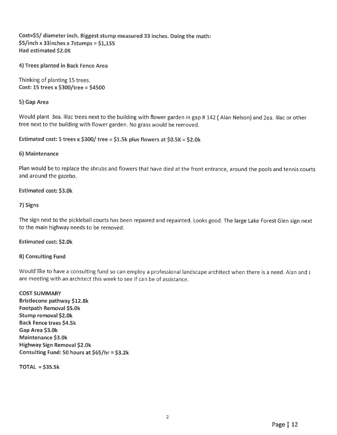Cost=\$5/ diameter inch. Biggest stump measured 33 inches. Doing the math: \$5/inch x 33inches x 7stumps = \$1,155 Had estimated \$2.0K

4) Trees planted in Back Fence Area

Thinking of planting 15 trees. Cost: 15 trees x \$300/tree = \$4500

#### 5) Gap Area

Would plant 3ea. Illac trees next to the building with flower garden in gap #142 (Alan Nelson) and 2ea. Illac or other tree next to the building with flower garden. No grass would be removed.

#### Estimated cost: 5 trees x \$300/ tree = \$1.5k plus flowers at \$0.5K = \$2.0k

#### 6) Maintenance

Plan would be to replace the shrubs and flowers that have died at the front entrance, around the pools and tennis courts and around the gazebo.

#### Estimated cost: \$3.0k

#### 7) Signs

The sign next to the pickleball courts has been repaired and repainted. Looks good. The large Lake Forest Glen sign next to the main highway needs to be removed.

#### **Estimated cost: \$2.0k**

#### 8) Consulting Fund

Would like to have a consulting fund so can employ a professional landscape architect when there is a need. Alan and I are meeting with an architect this week to see if can be of assistance.

**COST SUMMARY** Bristlecone pathway \$12.8k Footpath Removal \$5.0k Stump removal \$2.0k **Back Fence trees \$4.5k** Gap Area \$3.0k **Maintenance \$3.0k Highway Sign Removal \$2.0k** Consulting Fund: 50 hours at \$65/hr = \$3.2k

 $TOTAL = $35.5k$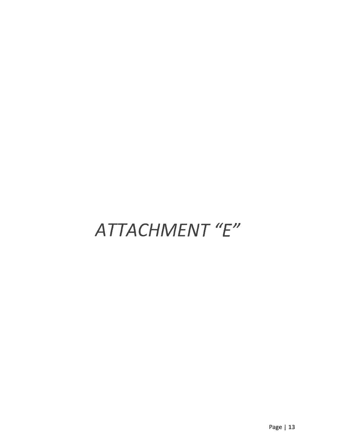# ATTACHMENT "E"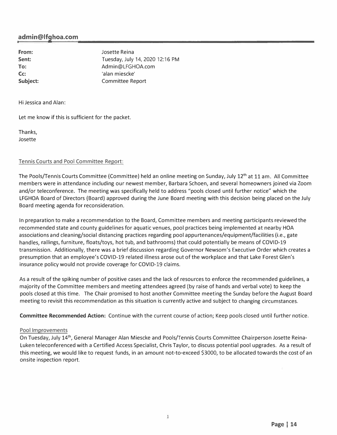#### **admin@lfghoa.com**

**From: Sent: To: Cc: Subject:**  Josette Reina Tuesday, July 14, 2020 12:16 PM Admin@LFGHOA.com 'alan miescke' Committee Report

Hi Jessica and Alan:

Let me know if this is sufficient for the packet.

Thanks, Josette

#### Tennis Courts and Pool Committee Report:

The Pools/Tennis Courts Committee (Committee) held an online meeting on Sunday, July 12<sup>th</sup> at 11 am. All Committee members were in attendance including our newest member, Barbara Schoen, and several homeowners joined via Zoom and/or teleconference. The meeting was specifically held to address "pools closed until further notice" which the LFGHOA Board of Directors (Board) approved during the June Board meeting with this decision being placed on the July Board meeting agenda for reconsideration.

In preparation to make a recommendation to the Board, Committee members and meeting participants reviewed the recommended state and county guidelines for aquatic venues, pool practices being implemented at nearby HOA associations and cleaning/social distancing practices regarding pool appurtenances/equipment/facilities (i.e., gate handles, railings, furniture, floats/toys, hot tub, and bathrooms) that could potentially be means of COVID-19 transmission. Additionally, there was a brief discussion regarding Governor Newsom's Executive Order which creates a presumption that an employee's COVID-19 related illness arose out of the workplace and that Lake Forest Glen's insurance policy would not provide coverage for COVID-19 claims.

As a result of the spiking number of positive cases and the lack of resources to enforce the recommended guidelines, a majority of the Committee members and meeting attendees agreed (by raise of hands and verbal vote) to keep the pools closed at this time. The Chair promised to host another Committee meeting the Sunday before the August Board meeting to revisit this recommendation as this situation is currently active and subject to changing circumstances.

**Committee Recommended Action:** Continue with the current course of action; Keep pools closed until further notice.

#### Pool Improvements

On Tuesday, July 14<sup>th</sup>, General Manager Alan Miescke and Pools/Tennis Courts Committee Chairperson Josette Reina-Luken teleconferenced with a Certified Access Specialist, Chris Taylor, to discuss potential pool upgrades. As a result of this meeting, we would like to request funds, in an amount not-to-exceed \$3000, to be allocated towards the cost of an onsite inspection report.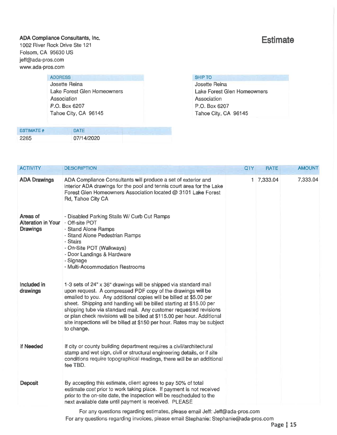#### ADA Compliance Consultants, Inc. 1002 River Rock Drive Ste 121

Folsom, CA 95630 US jeff@ada-pros.com www.ada-pros.com

#### **ADDRESS**

Josette Reina Lake Forest Glen Homeowners Association P.O. Box 6207 Tahoe City, CA 96145

| <b>ESTIMATE #</b> | DATE       |
|-------------------|------------|
| 2265              | 07/14/2020 |

### **Estimate**

| <b>SHIP TO</b>  |  |
|-----------------|--|
| $I$ aaatta Dain |  |

Josette Reina Lake Forest Glen Homeowners Association P.O. Box 6207 Tahoe City, CA 96145

| <b>ADA Drawings</b><br>ADA Compliance Consultants will produce a set of exterior and<br>1 7,333.04<br>interior ADA drawings for the pool and tennis court area for the Lake<br>Forest Glen Homeowners Association located @ 3101 Lake Forest<br>Rd, Tahoe City CA<br>Areas of<br>- Disabled Parking Stalls W/ Curb Cut Ramps<br><b>Alteration in Your</b><br>- Off-site POT<br><b>Drawings</b><br>- Stand Alone Ramps<br>- Stand Alone Pedestrian Ramps<br>- Stairs<br>- On-Site POT (Walkways)<br>- Door Landings & Hardware<br>- Signage<br>- Multi-Accommodation Restrooms<br>Included in<br>1-3 sets of 24" x 36" drawings will be shipped via standard mail<br>drawings<br>upon request. A compressed PDF copy of the drawings will be<br>emailed to you. Any additional copies will be billed at \$5.00 per<br>sheet. Shipping and handling will be billed starting at \$15.00 per<br>shipping tube via standard mail. Any customer requested revisions<br>or plan check revisions will be billed at \$115.00 per hour. Additional<br>site inspections will be billed at \$150 per hour. Rates may be subject<br>to change. | <b>ACTIVITY</b> | <b>DESCRIPTION</b> | <b>QTY</b> | <b>RATE</b> | <b>AMOUNT</b> |
|-----------------------------------------------------------------------------------------------------------------------------------------------------------------------------------------------------------------------------------------------------------------------------------------------------------------------------------------------------------------------------------------------------------------------------------------------------------------------------------------------------------------------------------------------------------------------------------------------------------------------------------------------------------------------------------------------------------------------------------------------------------------------------------------------------------------------------------------------------------------------------------------------------------------------------------------------------------------------------------------------------------------------------------------------------------------------------------------------------------------------------------|-----------------|--------------------|------------|-------------|---------------|
|                                                                                                                                                                                                                                                                                                                                                                                                                                                                                                                                                                                                                                                                                                                                                                                                                                                                                                                                                                                                                                                                                                                                   |                 |                    |            |             | 7,333.04      |
|                                                                                                                                                                                                                                                                                                                                                                                                                                                                                                                                                                                                                                                                                                                                                                                                                                                                                                                                                                                                                                                                                                                                   |                 |                    |            |             |               |
|                                                                                                                                                                                                                                                                                                                                                                                                                                                                                                                                                                                                                                                                                                                                                                                                                                                                                                                                                                                                                                                                                                                                   |                 |                    |            |             |               |
| If Needed<br>If city or county building department requires a civil/architectural<br>stamp and wet sign, civil or structural engineering details, or if site<br>conditions require topographical readings, there will be an additional<br>fee TBD.                                                                                                                                                                                                                                                                                                                                                                                                                                                                                                                                                                                                                                                                                                                                                                                                                                                                                |                 |                    |            |             |               |
| <b>Deposit</b><br>By accepting this estimate, client agrees to pay 50% of total<br>estimate cost prior to work taking place. If payment is not received<br>prior to the on-site date, the inspection will be rescheduled to the<br>next available date until payment is received. PLEASE<br>For any questions regarding estimates, please email Jeff: Jeff@ada-pros.com                                                                                                                                                                                                                                                                                                                                                                                                                                                                                                                                                                                                                                                                                                                                                           |                 |                    |            |             |               |

For any questions regarding invoices, please email Stephanie: Stephanie@ada-pros.com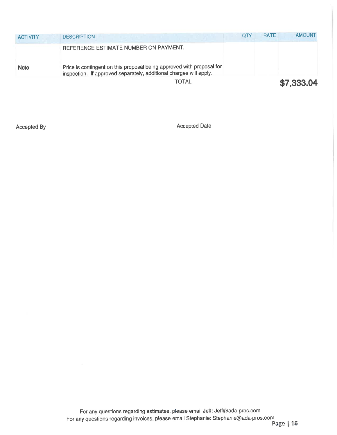| <b>ACTIVITY</b> | <b>DESCRIPTION</b>                                                                                                                          | <b>OTY</b> | <b>RATE</b> | <b>AMOUNT</b> |
|-----------------|---------------------------------------------------------------------------------------------------------------------------------------------|------------|-------------|---------------|
|                 | REFERENCE ESTIMATE NUMBER ON PAYMENT.                                                                                                       |            |             |               |
| <b>Note</b>     | Price is contingent on this proposal being approved with proposal for<br>inspection. If approved separately, additional charges will apply. |            |             |               |
|                 | <b>TOTAL</b>                                                                                                                                |            |             | \$7,333.04    |

Accepted By

Accepted Date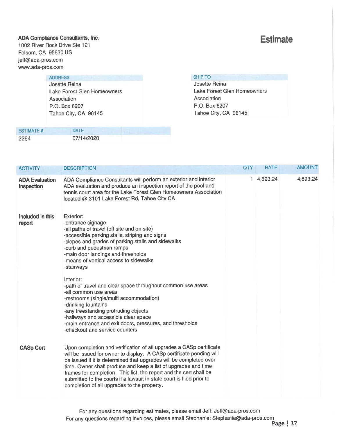#### ADA Compliance Consultants, Inc. 1002 River Rock Drive Ste 121

Folsom, CA 95630 US jeff@ada-pros.com www.ada-pros.com

#### **ADDRESS**

Josette Reina Lake Forest Glen Homeowners Association P.O. Box 6207 Tahoe City, CA 96145

| <b>ESTIMATE #</b> | <b>DATE</b> |
|-------------------|-------------|
| 2264              | 07/14/2020  |

### **Estimate**

| <b>SHIP TO</b>       |  |
|----------------------|--|
| <b>Josette Reina</b> |  |

Lake Forest Glen Homeowners Association P.O. Box 6207 Tahoe City, CA 96145

| <b>ACTIVITY</b>                     | <b>DESCRIPTION</b>                                                                                                                                                                                                                                                                                                                                                                                                                                                                                                                                                                                                                   | QTY | <b>RATE</b> | <b>AMOUNT</b> |
|-------------------------------------|--------------------------------------------------------------------------------------------------------------------------------------------------------------------------------------------------------------------------------------------------------------------------------------------------------------------------------------------------------------------------------------------------------------------------------------------------------------------------------------------------------------------------------------------------------------------------------------------------------------------------------------|-----|-------------|---------------|
| <b>ADA Evaluation</b><br>Inspection | ADA Compliance Consultants will perform an exterior and interior<br>ADA evaluation and produce an inspection report of the pool and<br>tennis court area for the Lake Forest Glen Homeowners Association<br>located @ 3101 Lake Forest Rd, Tahoe City CA                                                                                                                                                                                                                                                                                                                                                                             |     | 1 4,893.24  | 4,893.24      |
| Included in this<br>report          | Exterior:<br>-entrance signage<br>-all paths of travel (off site and on site)<br>-accessible parking stalls, striping and signs<br>-slopes and grades of parking stalls and sidewalks<br>-curb and pedestrian ramps<br>-main door landings and thresholds<br>-means of vertical access to sidewalks<br>-stairways<br>Interior:<br>-path of travel and clear space throughout common use areas<br>-all common use areas<br>-restrooms (single/multi accommodation)<br>-drinking fountains<br>-any freestanding protruding objects<br>-hallways and accessible clear space<br>-main entrance and exit doors, pressures, and thresholds |     |             |               |
| <b>CASp Cert</b>                    | -checkout and service counters<br>Upon completion and verification of all upgrades a CASp certificate<br>will be issued for owner to display. A CASp certificate pending will<br>be issued if it is determined that upgrades will be completed over<br>time. Owner shall produce and keep a list of upgrades and time                                                                                                                                                                                                                                                                                                                |     |             |               |
|                                     | frames for completion. This list, the report and the cert shall be<br>submitted to the courts if a lawsuit in state court is filed prior to<br>completion of all upgrades to the property.                                                                                                                                                                                                                                                                                                                                                                                                                                           |     |             |               |

For any questions regarding estimates, please email Jeff: Jeff@ada-pros.com For any questions regarding invoices, please email Stephanie: Stephanie@ada-pros.com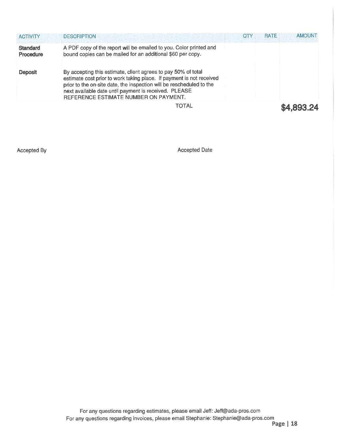| <b>ACTIVITY</b>              | <b>DESCRIPTION</b>                                                                                                                                                                                                                                                                                              | <b>QTY</b> | <b>RATE</b> | <b>AMOUNT</b> |
|------------------------------|-----------------------------------------------------------------------------------------------------------------------------------------------------------------------------------------------------------------------------------------------------------------------------------------------------------------|------------|-------------|---------------|
| <b>Standard</b><br>Procedure | A PDF copy of the report will be emailed to you. Color printed and<br>bound copies can be mailed for an additional \$60 per copy.                                                                                                                                                                               |            |             |               |
| <b>Deposit</b>               | By accepting this estimate, client agrees to pay 50% of total<br>estimate cost prior to work taking place. If payment is not received<br>prior to the on-site date, the inspection will be rescheduled to the<br>next available date until payment is received. PLEASE<br>REFERENCE ESTIMATE NUMBER ON PAYMENT. |            |             |               |
|                              | TOTAL                                                                                                                                                                                                                                                                                                           |            |             | \$4,893.24    |

Accepted By

Accepted Date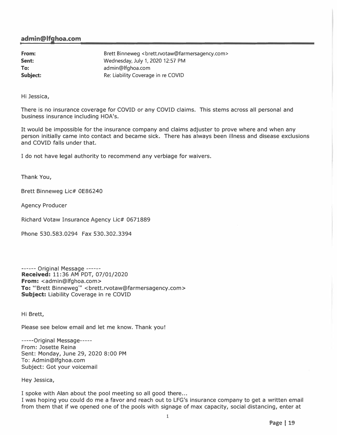#### **admin@lfghoa.com**

| From:    | Brett Binneweg <brett.rvotaw@farmersagency.com></brett.rvotaw@farmersagency.com> |
|----------|----------------------------------------------------------------------------------|
| Sent:    | Wednesday, July 1, 2020 12:57 PM                                                 |
| To:      | admin@lfghoa.com                                                                 |
| Subject: | Re: Liability Coverage in re COVID                                               |

Hi Jessica,

There is no insurance coverage for COVID or any COVID claims. This stems across all personal and business insurance including HOA's.

It would be impossible for the insurance company and claims adjuster to prove where and when any person initially came into contact and became sick. There has always been illness and disease exclusions and COVID falls under that.

I do not have legal authority to recommend any verbiage for waivers.

Thank You,

Brett Binneweg Lie# OE86240

Agency Producer

Richard Votaw Insurance Agency Lic# 0671889

Phone 530.583.0294 Fax 530.302.3394

------ Original Message ----- **Received:** 11: 36 AM PDT, 07/01/2020 **From:** <admin@lfghoa.com> To: "'Brett Binneweg'" <brett.rvotaw@farmersagency.com> **Subject:** Liability Coverage in re COVID

Hi Brett,

Please see below email and let me know. Thank you!

-----Original Message----- From: Josette Reina Sent: Monday, June 29, 2020 8:00 PM To: Admin@lfghoa.com Subject: Got your voicemail

Hey Jessica,

I spoke with Alan about the pool meeting so all good there... I was hoping you could do me a favor and reach out to LFG's insurance company to get a written email from them that if we opened one of the pools with signage of max capacity, social distancing, enter at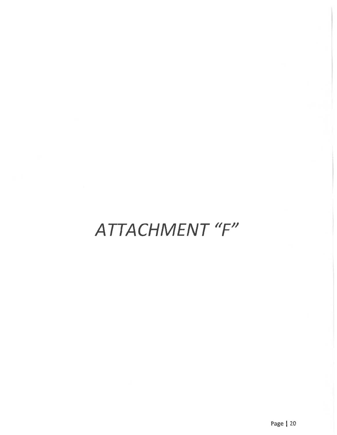# ATTACHMENT "F"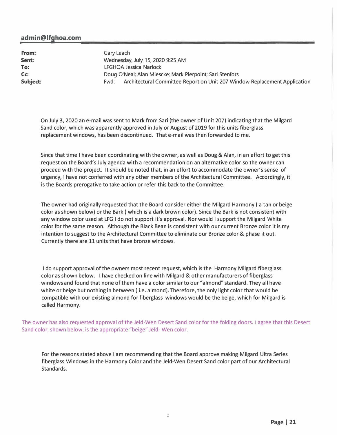#### **admin@lfghoa.com**

**From: Sent: To: Cc:**  Gary Leach Wednesday, July 15, 2020 9:25 AM LFGHOA Jessica Narlock Doug O'Neal; Alan Miescke; Mark Pierpoint; Sari Stenfors **Subject: Fack Committee Report on Unit 207 Window Replacement Application Subject: Fack Committee Report on Unit 207 Window Replacement Application** 

On July 3, 2020 an e-mail was sent to Mark from Sari (the owner of Unit 207) indicating that the Milgard Sand color, which was apparently approved in July or August of 2019 for this units fiberglass replacement windows, has been discontinued. That e-mail was then forwarded to me.

Since that time I have been coordinating with the owner, as well as Doug & Alan, in an effort to get this request on the Board's July agenda with a recommendation on an alternative color so the owner can proceed with the project. It should be noted that, in an effort to accommodate the owner's sense of urgency, I have not conferred with any other members of the Architectural Committee. Accordingly, it is the Boards prerogative to take action or refer this back to the Committee.

The owner had originally requested that the Board consider either the Milgard Harmony ( a tan or beige color as shown below) or the Bark ( which is a dark brown color). Since the Bark is not consistent with any window color used at LFG I do not support it's approval. Nor would I support the Milgard White color for the same reason. Although the Black Bean is consistent with our current Bronze color it is my intention to suggest to the Architectural Committee to eliminate our Bronze color & phase it out. Currently there are 11 units that have bronze windows.

I do support approval of the owners most recent request, which is the Harmony Milgard fiberglass color as shown below. I have checked on line with Milgard & other manufacturers of fiberglass windows and found that none of them have a color similar to our "almond" standard. They all have white or beige but nothing in between ( i.e. almond). Therefore, the only light color that would be compatible with our existing almond for fiberglass windows would be the beige, which for Milgard is called Harmony.

The owner has also requested approval of the Jeld-Wen Desert Sand color for the folding doors. I agree that this Desert Sand color, shown below, is the appropriate "beige" Jeld- Wen color

For the reasons stated above I am recommending that the Board approve making Milgard Ultra Series fiberglass Windows in the Harmony Color and the Jeld-Wen Desert Sand color part of our Architectural Standards.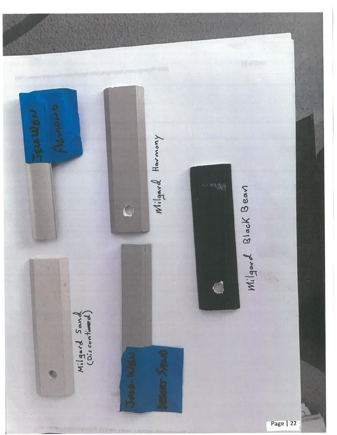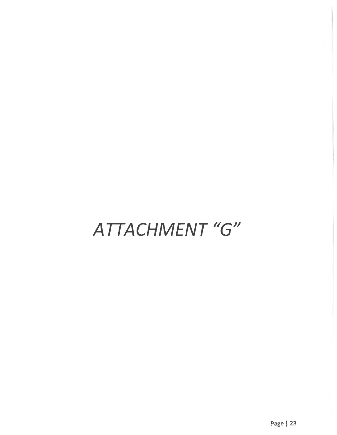# ATTACHMENT "G"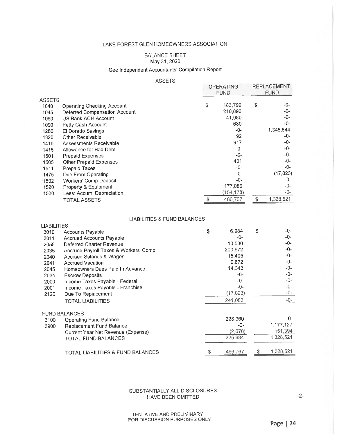#### **BALANCE SHEET** May 31, 2020

#### See Independent Accountants' Compilation Report

#### **ASSETS**

|        |                               | <b>OPERATING</b><br><b>FUND</b> | <b>REPLACEMENT</b><br><b>FUND</b> |
|--------|-------------------------------|---------------------------------|-----------------------------------|
| ASSETS |                               |                                 |                                   |
| 1040   | Operating Checking Account    | \$<br>183,799                   | \$<br>-0-                         |
| 1045   | Deferred Compensation Account | 216,890                         | -0-                               |
| 1060   | US Bank ACH Account           | 41,080                          | -0-                               |
| 1090   | Petty Cash Account            | 680                             | -0-                               |
| 1280   | El Dorado Savings             | -0-                             | 1,345,544                         |
| 1320   | Other Receivable              | 92                              | -0-                               |
| 1410   | Assessments Receivable        | 917                             | -0-                               |
| 1415   | Allowance for Bad Debt        | -0-                             | -0-                               |
| 1501   | <b>Prepaid Expenses</b>       | -0-                             | -0-                               |
| 1505   | <b>Other Prepaid Expenses</b> | 401                             | -0-                               |
| 1511   | Prepaid Taxes                 | -0-                             | -0-                               |
| 1475   | Due From Operating            | -0-                             | (17, 023)                         |
| 1502   | <b>Workers' Comp Deposit</b>  | -0-                             | -0-                               |
| 1520   | Property & Equipment          | 177,086                         | -0-                               |
| 1530   | Less: Accum. Depreciation     | (154, 178)                      | -0-                               |
|        | <b>TOTAL ASSETS</b>           | 466,767                         | \$<br>1,328,521                   |
|        |                               |                                 |                                   |

#### **LIABILITIES & FUND BALANCES**

| <b>LIABILITIES</b> |                                       |             |   |           |
|--------------------|---------------------------------------|-------------|---|-----------|
| 3010               | <b>Accounts Payable</b>               | \$<br>6,984 | S | -0-       |
| 3011               | <b>Accrued Accounts Payable</b>       | -0-         |   | -0-       |
| 2055               | Deferred Charter Revenue              | 10.530      |   | -0-       |
| 2035               | Accrued Payroll Taxes & Workers' Comp | 200,972     |   | -0-       |
| 2040               | <b>Accrued Salaries &amp; Wages</b>   | 15,405      |   | -0-       |
| 2041               | <b>Accrued Vacation</b>               | 9,872       |   | -0-       |
| 2045               | Homeowners Dues Paid In Advance       | 14,343      |   | -0-       |
| 2034               | <b>Escrow Deposits</b>                | -0-         |   | -0-       |
| 2000               | Income Taxes Payable - Federal        | -0-         |   | -0-       |
| 2001               | Income Taxes Payable - Franchise      | -0-         |   | -0-       |
| 2120               | Due To Replacement                    | (17, 023)   |   | -0-       |
|                    | TOTAL LIABILITIES                     | 241,083     |   | -0-       |
|                    | <b>FUND BALANCES</b>                  |             |   |           |
| 3100               | <b>Operating Fund Balance</b>         | 228,360     |   | -0-       |
| 3900               | Replacement Fund Balance              | -0-         |   | 1,177,127 |
|                    | Current Year Net Revenue (Expense)    | (2,676)     |   | 151,394   |
|                    | TOTAL FUND BALANCES                   | 225,684     |   | 1,328,521 |
|                    | TOTAL LIABILITIES & FUND BALANCES     | 466,767     | S | 1,328,521 |

#### SUBSTANTIALLY ALL DISCLOSURES HAVE BEEN OMITTED

 $-2-$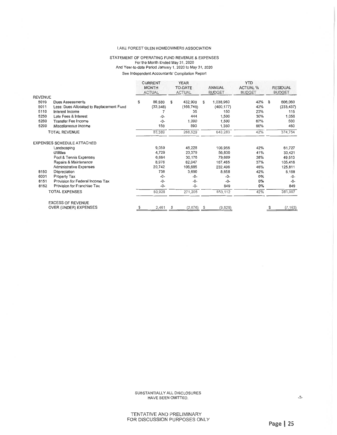#### STATEMENT OF OPERATING FUND REVENUE & EXPENSES For the Month Ended May 31, 2020 And Year-to-date Period January 1, 2020 to May 31, 2020 See Independent Accountants' Compilation Report

*Contract of the Contract of Contract of the Contract of Contract of Contract of Contract of Contract of Contract of Contract of Contract of Contract of Contract of Contract of Contract of Contract of Contract of Contract* 

|                |                                          | <b>CURRENT</b><br><b>MONTH</b><br><b>ACTUAL</b> |           | YEAR<br><b>TO-DATE</b><br><b>ACTUAL</b> |              | <b>ANNUAL</b><br><b>BUDGET</b> |            | YID<br><b>ACTUAL %</b><br><b>BUDGET</b> | <b>RESIDUAL</b><br><b>BUDGET</b> |            |
|----------------|------------------------------------------|-------------------------------------------------|-----------|-----------------------------------------|--------------|--------------------------------|------------|-----------------------------------------|----------------------------------|------------|
| <b>REVENUE</b> |                                          |                                                 |           |                                         |              |                                |            |                                         |                                  |            |
| 5010           | <b>Dues Assessments</b>                  | s                                               | 86,580    | £                                       | 432,900      | \$                             | 1,038,960  | 42%                                     | \$                               | 606,060    |
| 5011           | Less: Dues Allocated to Replacement Fund |                                                 | (33, 348) |                                         | (166, 740)   |                                | (400, 177) | 42%                                     |                                  | (233, 437) |
| 5110           | Interest Income                          |                                                 |           |                                         | 35           |                                | 150        | 23%                                     |                                  | 115        |
| 5250           | Late Fees & Interest                     |                                                 | -0-       |                                         | 444          |                                | 1,500      | 30%                                     |                                  | 1,056      |
| 5260           | Transfer Fee Income                      |                                                 | -0-       |                                         | 1,000        |                                | 1,500      | 67%                                     |                                  | 500        |
| 5290           | Miscellaneous Income                     |                                                 | 150       |                                         | 890          |                                | 1,350      | 66%                                     |                                  | 460        |
|                | <b>TOTAL REVENUE</b>                     |                                                 | 53,389    |                                         | 268,529      |                                | 643,283    | 42%                                     |                                  | 374,754    |
|                | <b>EXPENSES SCHEDULE ATTACHED</b>        |                                                 |           |                                         |              |                                |            |                                         |                                  |            |
|                | Landscaping                              |                                                 | 9,059     |                                         | 45,228       |                                | 106,955    | 42%                                     |                                  | 61,727     |
|                | <b>Utilities</b>                         |                                                 | 4,729     |                                         | 23,379       |                                | 56,800     | 41%                                     |                                  | 33,421     |
|                | Pool & Tennis Expenses                   |                                                 | 6,684     |                                         | 30,176       |                                | 79,689     | 38%                                     |                                  | 49,513     |
|                | Repairs & Maintenance                    |                                                 | 8,976     |                                         | 62,047       |                                | 167,465    | 37%                                     |                                  | 105,418    |
|                | <b>Administrative Expenses</b>           |                                                 | 20,742    |                                         | 106,685      |                                | 232,496    | 46%                                     |                                  | 125,811    |
| 8150           | Depreciation                             |                                                 | 738       |                                         | 3,690        |                                | 8,858      | 42%                                     |                                  | 5,168      |
| 6001           | Property Tax                             |                                                 | $-0-$     |                                         | -0-          |                                | -0-        | 0%                                      |                                  | $-0-$      |
| 8151           | Provision for Federal Income Tax         |                                                 | -0-       |                                         | $-0-$        |                                | $-0-$      | 0%                                      |                                  | $-0-$      |
| 8152           | Provision for Franchise Tax              |                                                 | -0-       |                                         | $-0-$        |                                | 849        | 0%                                      |                                  | 849        |
|                | <b>TOTAL EXPENSES</b>                    |                                                 | 50,928    |                                         | 271,205      |                                | 653,112    | 42%                                     |                                  | 381,907    |
|                | <b>EXCESS OF REVENUE</b>                 |                                                 |           |                                         |              |                                |            |                                         |                                  |            |
|                | <b>OVER (UNDER) EXPENSES</b>             |                                                 | 2,461     | -S                                      | $(2,676)$ \$ |                                | (9,829)    |                                         |                                  | (7, 153)   |

SUBSTANTIALLY ALL DISCLOSURES HAVE BEEN OMITTED.

 $-3-$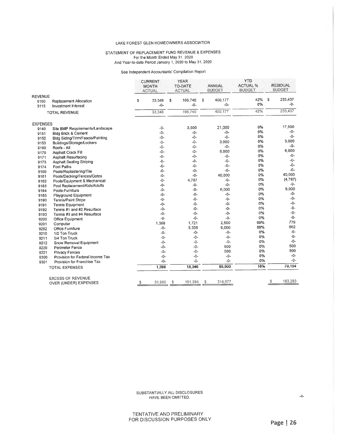#### STATEMENT OF REPLACEMENT FUND REVENUE & EXPENSES For the Month Ended May 31, 2020<br>For the Month Ended May 31, 2020<br>And Year-to-date Period January 1, 2020 to May 31, 2020

See Independent Accountants' Compilation Report

|                 |                                                      | <b>CURRENT</b><br><b>MONTH</b><br><b>ACTUAL</b> |                 |    | <b>YEAR</b><br>TO-DATE<br><b>ACTUAL</b> | <b>ANNUAL</b><br><b>BUDGET</b> |                  | <b>YTD</b><br><b>ACTUAL %</b><br><b>BUDGET</b> | <b>RESIDUAL</b><br><b>BUDGET</b> |                |
|-----------------|------------------------------------------------------|-------------------------------------------------|-----------------|----|-----------------------------------------|--------------------------------|------------------|------------------------------------------------|----------------------------------|----------------|
| <b>REVENUE</b>  |                                                      |                                                 |                 |    |                                         |                                |                  |                                                |                                  |                |
| 5100<br>3115    | <b>Replacement Allocation</b><br>Investment Interest | S                                               | 33,348<br>$-0-$ | \$ | 166,740<br>$-0-$                        | s                              | 400.177<br>$-0-$ | 42%<br>0%                                      | S                                | 233,437<br>-0- |
|                 | <b>TOTAL REVENUE</b>                                 |                                                 | 33,348          |    | 166,740                                 |                                | 400,177          | 42%                                            |                                  | 233,437        |
| <b>EXPENSES</b> |                                                      |                                                 |                 |    |                                         |                                |                  |                                                |                                  |                |
| 9140            | Site BMP Requirements/Landscape                      |                                                 | -0-             |    | 3,500                                   |                                | 21.000           | 0%                                             |                                  | 17,500         |
| 9151            | Bldg Brick & Cement                                  |                                                 | $-0-$           |    | -0-                                     |                                | -0-              | 0%                                             |                                  | -0-            |
| 9152            | Bldg Siding/Trim/Fascia/Painting                     |                                                 | $-0-$           |    | $-0-$                                   |                                | $-0-$            | 0%                                             |                                  | $-0-$          |
| 9153            | Buildings/Storage/Lockers                            |                                                 | $-0-$           |    | $-0-$                                   |                                | 3,000            | 0%                                             |                                  | 3,000          |
| 9160            | Roofs - All                                          |                                                 | $-0-$           |    | $-0-$                                   |                                | -0-              | 0%                                             |                                  | $-0-$          |
| 9170            | <b>Asphalt Crack Fill</b>                            |                                                 | $-0-$           |    | -0-                                     |                                | 6,000            | 0%                                             |                                  | 6,000          |
| 9171            | Asphalt Resurfacing                                  |                                                 | $-0-$           |    | $-0-$                                   |                                | -0-              | 0%                                             |                                  | -0-            |
| 9173            | <b>Asphalt Sealing Striping</b>                      |                                                 | -0-             |    | -0-                                     |                                | -0-              | 0%                                             |                                  | -0-            |
| 9174            | Foot Paths                                           |                                                 | -0-             |    | -0-                                     |                                | $-0-$            | 0%                                             |                                  | $-0-$          |
| 9180            | Pools/Replastering/Tile                              |                                                 | -0-             |    | $-0-$                                   |                                | $-0-$            | 0%                                             |                                  | $-0-$          |
| 9181            | Pools/Decking/Fences/Gates                           |                                                 | $-0-$           |    | $-0-$                                   |                                | 40.000           | 0%                                             |                                  | 40,000         |
| 9182            | Pools/Equipment & Mechanical                         |                                                 | $-0-$           |    | 4,787                                   |                                | -0-              | 0%                                             |                                  | (4, 787)       |
| 9183            | Pool Replacement/Kids/Adults                         |                                                 | -0-             |    | $-0-$                                   |                                | $-0-$            | 0%                                             |                                  | -0-            |
| 9184            | Pools-Furniture                                      |                                                 | -0-             |    | $-0-$                                   |                                | 6.000            | 0%                                             |                                  | 6,000          |
| 9185            | Playground Equipment                                 |                                                 | $-0-$           |    | $-0-$                                   |                                | -0-              | 0%                                             |                                  | $-0-$          |
| 9190            | Tennis/Paint Stripe                                  |                                                 | $-0-$           |    | $-0-$                                   |                                | $-0-$            | $0\%$                                          |                                  | -0-            |
| 9191            | <b>Tennis Equipment</b>                              |                                                 | $-0-$           |    | $-0-$                                   |                                | $-0-$            | 0%                                             |                                  | -0-            |
| 9192            | Tennis #1 and #2 Resurface                           |                                                 | $-0-$           |    | $-0-$                                   |                                | $-0-$            | 0%                                             |                                  | $-0-$          |
| 9193            | Tennis #3 and #4 Resurface                           |                                                 | $-0-$           |    | $-0-$                                   |                                | $-0-$            | 0%                                             |                                  | $-0-$          |
| 9200            | Office Equipment                                     |                                                 | $-0-$           |    | $-0-$                                   |                                | $-0-$            | 0%                                             |                                  | $-0-$          |
| 9201            | Computer                                             |                                                 | 1,398           |    | 1,721                                   |                                | 2,500            | 69%                                            |                                  | 779            |
| 9202            | Office Furniture                                     |                                                 | $-0-$           |    | 5,338                                   |                                | 6,000            | 89%                                            |                                  | 662            |
| 9210            | 1/2 Ton Truck                                        |                                                 | $-0-$           |    | $-0-$                                   |                                | -0-              | 0%                                             |                                  | $-0-$          |
| 9211            | 3/4 Ton Truck                                        |                                                 | $-0-$           |    | $-0-$                                   |                                | $-0-$            | 0%                                             |                                  | $-0-$          |
| 9212            | Snow Removal Equipment                               |                                                 | $-0-$           |    | $-0-$                                   |                                | $-0-$            | 0%                                             |                                  | $-0-$          |
| 9220            | Perimeter Fence                                      |                                                 | $-0-$           |    | $-0-$                                   |                                | 500              | 0%                                             |                                  | 500            |
| 9221            | <b>Privacy Fences</b>                                |                                                 | -0-             |    | $-0-$                                   |                                | 500              | 0%                                             |                                  | 500            |
| 9300            | Provision for Federal Income Tax                     |                                                 | $-0-$           |    | $-0-$                                   |                                | -0-              | 0%                                             |                                  | $-0-$          |
| 9301            | Provision for Franchise Tax                          |                                                 | $-0-$           |    | $-0-$                                   |                                | $-0-$            | <b>0%</b>                                      |                                  | $-0-$          |
|                 | <b>TOTAL EXPENSES</b>                                |                                                 | 1,398           |    | 15,346                                  |                                | 85,500           | 18%                                            |                                  | 70,154         |
|                 | <b>EXCESS OF REVENUE</b>                             |                                                 |                 |    |                                         |                                |                  |                                                |                                  |                |
|                 | OVER (UNDER) EXPENSES                                |                                                 | 31,950          | s  | 151,394                                 | S                              | 314,677          |                                                |                                  | 163,283        |

SUBSTANTIALLY ALL DISCLOSURES HAVE BEEN OMITTED.

 $-4-$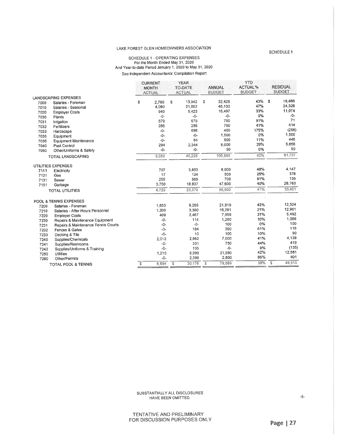### SCHEDULE 1 - OPERATING EXPENSES<br>For the Month Ended May 31, 2020<br>And Year-to-date Period January 1, 2020 to May 31, 2020 See Independent Accountants' Compilation Report

|                             |                                     | <b>CURRENT</b><br><b>MONTH</b><br><b>ACTUAL</b> |       | <b>YEAR</b><br>TO-DATE<br><b>ACTUAL</b> |        | <b>ANNUAL</b><br><b>BUDGET</b> |         | <b>YTD</b><br><b>ACTUAL %</b><br><b>BUDGET</b> | <b>RESIDUAL</b><br><b>BUDGET</b> |        |
|-----------------------------|-------------------------------------|-------------------------------------------------|-------|-----------------------------------------|--------|--------------------------------|---------|------------------------------------------------|----------------------------------|--------|
| <b>LANDSCAPING EXPENSES</b> |                                     |                                                 |       |                                         |        |                                |         |                                                |                                  |        |
| 7000                        | Salaries - Foreman                  | s                                               | 2,780 | S                                       | 13,942 | s                              | 32,428  | 43%                                            | S                                | 18,486 |
| 7010                        | Salaries - Seasonal                 |                                                 | 4,080 |                                         | 21,802 |                                | 46,130  | 47%                                            |                                  | 24,328 |
| 7020                        | <b>Employer Costs</b>               |                                                 | 940   |                                         | 5.423  |                                | 16,497  | 33%                                            |                                  | 11,074 |
| 7030                        | Plants                              |                                                 | $-0-$ |                                         | $-0-$  |                                | $-0-$   | 0%                                             |                                  | -0-    |
| 7031                        | Irrigation                          |                                                 | 679   |                                         | 679    |                                | 750     | 91%                                            |                                  | 71     |
| 7032                        | Fertilizers                         |                                                 | 286   |                                         | 286    |                                | 700     | 41%                                            |                                  | 414    |
| 7033                        | Hardscape                           |                                                 | $-0-$ |                                         | 698    |                                | 400     | 175%                                           |                                  | (298)  |
| 7035                        | Equipment                           |                                                 | $-0-$ |                                         | $-0-$  |                                | 1,500   | 0%                                             |                                  | 1,500  |
| 7036                        | <b>Equipment Maintenance</b>        |                                                 | $-0-$ |                                         | 54     |                                | 500     | 11%                                            |                                  | 446    |
| 7040                        | Pest Control                        |                                                 | 294   |                                         | 2.344  |                                | 8,000   | 29%                                            |                                  | 5,656  |
| 7050                        | Other/Uniforms & Safety             |                                                 | $-0-$ |                                         | $-0-$  |                                | 50      | 0%                                             |                                  | 50     |
|                             | <b>TOTAL LANDSCAPING</b>            |                                                 | 9.059 |                                         | 45,228 |                                | 106,955 | 42%                                            |                                  | 61,727 |
|                             | UTILITIES EXPENSES                  |                                                 |       |                                         |        |                                |         |                                                |                                  |        |
| 7111                        | Electricity                         |                                                 | 707   |                                         | 3,853  |                                | 8,000   | 48%                                            |                                  | 4,147  |
| 7121                        | Gas                                 |                                                 | 17    |                                         | 124    |                                | 500     | 25%                                            |                                  | 376    |
| 7131                        | Sewer                               |                                                 | 255   |                                         | 565    |                                | 700     | 81%                                            |                                  | 135    |
| 7151                        | Garbage                             |                                                 | 3,750 |                                         | 18,837 |                                | 47,600  | 40%                                            |                                  | 28,763 |
|                             | <b>TOTAL UTILITIES</b>              |                                                 | 4,729 |                                         | 23,379 |                                | 56,800  | 41%                                            |                                  | 33,421 |
|                             | POOL & TENNIS EXPENSES              |                                                 |       |                                         |        |                                |         |                                                |                                  |        |
| 7200                        | Salaries - Foreman                  |                                                 | 1,853 |                                         | 9,295  |                                | 21,619  | 43%                                            |                                  | 12,324 |
| 7210                        | Salaries - After Hours Personnel    |                                                 | 1,200 |                                         | 3,380  |                                | 16,281  | 21%                                            |                                  | 12,901 |
| 7220                        | <b>Employer Costs</b>               |                                                 | 409   |                                         | 2,467  |                                | 7,959   | 31%                                            |                                  | 5,492  |
| 7230                        | Repairs & Maintenance Equipment     |                                                 | $-0-$ |                                         | 114    |                                | 1,200   | 10%                                            |                                  | 1,086  |
| 7231                        | Repairs & Maintenance Tennis Courts |                                                 | $-0-$ |                                         | $-0-$  |                                | 100     | 0%                                             |                                  | 100    |
| 7232                        | Fences & Gates                      |                                                 | $-0-$ |                                         | 184    |                                | 300     | 61%                                            |                                  | 116    |
| 7233                        | Decking & Tile                      |                                                 | $-0-$ |                                         | 10     |                                | 100     | 10%                                            |                                  | 90     |
| 7240                        | Supplies/Chemicals                  |                                                 | 2.012 |                                         | 2,862  |                                | 7,000   | 41%                                            |                                  | 4,138  |
| 7241                        | Supplies/Restrooms                  |                                                 | $-0-$ |                                         | 331    |                                | 750     | 44%                                            |                                  | 419    |
| 7242                        | Supplies/Uniforms & Training        |                                                 | $-0-$ |                                         | 135    |                                | $-0-$   | 0%                                             |                                  | (135)  |
| 7250                        | <b>Utilities</b>                    |                                                 | 1,210 |                                         | 8,999  |                                | 21,580  | 42%                                            |                                  | 12,581 |
| 7260                        | Other/Permits                       |                                                 | $-0-$ |                                         | 2,399  |                                | 2,800   | 86%                                            |                                  | 401    |
|                             | TOTAL POOL & TENNIS                 | \$                                              | 6.684 | S                                       | 30,176 | $\mathbb{S}$                   | 79,689  | 38%                                            | \$                               | 49,513 |

SUBSTANTIALLY ALL DISCLOSURES HAVE BEEN OMITTED.

TENTATIVE AND PRELIMINARY FOR DISCUSSION PURPOSES ONLY SCHEDULE 1

 $-5-$